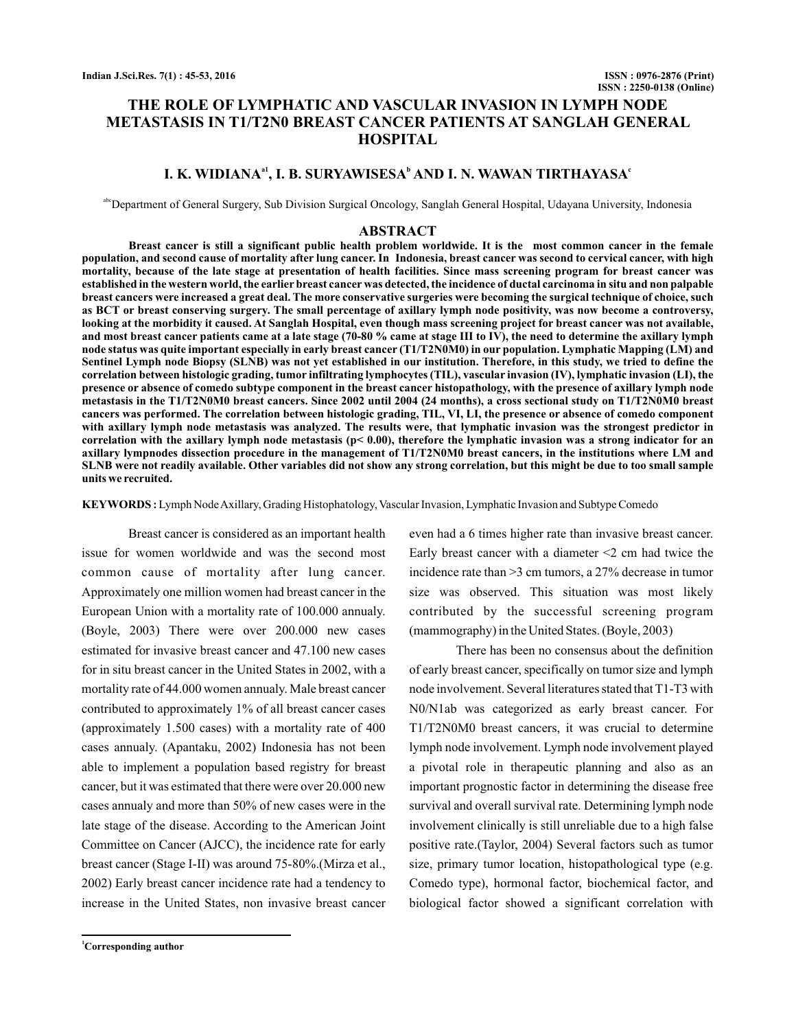# **THE ROLE OF LYMPHATIC AND VASCULAR INVASION IN LYMPH NODE METASTASIS IN T1/T2N0 BREAST CANCER PATIENTS AT SANGLAH GENERAL HOSPITAL**

## **I. K. WIDIANA<sup>a1</sup>, <b>I. B. SURYAWISESA**<sup>b</sup> AND **I. N. WAWAN TIRTHAYASA**<sup>c</sup>

<sup>abc</sup>Department of General Surgery, Sub Division Surgical Oncology, Sanglah General Hospital, Udayana University, Indonesia

#### **ABSTRACT**

**Breast cancer is still a significant public health problem worldwide. It is the most common cancer in the female population, and second cause of mortality after lung cancer. In Indonesia, breast cancer was second to cervical cancer, with high mortality, because of the late stage at presentation of health facilities. Since mass screening program for breast cancer was established in the western world, the earlier breast cancer was detected, the incidence of ductal carcinoma in situ and non palpable breast cancers were increased a great deal. The more conservative surgeries were becoming the surgical technique of choice, such as BCT or breast conserving surgery. The small percentage of axillary lymph node positivity, was now become a controversy, looking at the morbidity it caused. At Sanglah Hospital, even though mass screening project for breast cancer was not available, and most breast cancer patients came at a late stage (70-80 % came at stage III to IV), the need to determine the axillary lymph node status was quite important especially in early breast cancer (T1/T2N0M0) in our population. Lymphatic Mapping (LM) and Sentinel Lymph node Biopsy (SLNB) was not yet established in our institution. Therefore, in this study, we tried to define the correlation between histologic grading, tumor infiltrating lymphocytes (TIL), vascular invasion (IV), lymphatic invasion (LI), the presence or absence of comedo subtype component in the breast cancer histopathology, with the presence of axillary lymph node metastasis in the T1/T2N0M0 breast cancers. Since 2002 until 2004 (24 months), a cross sectional study on T1/T2N0M0 breast cancers was performed. The correlation between histologic grading, TIL, VI, LI, the presence or absence of comedo component with axillary lymph node metastasis was analyzed. The results were, that lymphatic invasion was the strongest predictor in correlation with the axillary lymph node metastasis (p< 0.00), therefore the lymphatic invasion was a strong indicator for an axillary lympnodes dissection procedure in the management of T1/T2N0M0 breast cancers, in the institutions where LM and SLNB were not readily available. Other variables did not show any strong correlation, but this might be due to too small sample units we recruited.**

KEYWORDS: Lymph Node Axillary, Grading Histophatology, Vascular Invasion, Lymphatic Invasion and Subtype Comedo

Breast cancer is considered as an important health issue for women worldwide and was the second most common cause of mortality after lung cancer. Approximately one million women had breast cancer in the European Union with a mortality rate of 100.000 annualy. (Boyle, 2003) There were over 200.000 new cases estimated for invasive breast cancer and 47.100 new cases for in situ breast cancer in the United States in 2002, with a mortality rate of 44.000 women annualy. Male breast cancer contributed to approximately 1% of all breast cancer cases (approximately 1.500 cases) with a mortality rate of 400 cases annualy. (Apantaku, 2002) Indonesia has not been able to implement a population based registry for breast cancer, but it was estimated that there were over 20.000 new cases annualy and more than 50% of new cases were in the late stage of the disease. According to the American Joint Committee on Cancer (AJCC), the incidence rate for early breast cancer (Stage I-II) was around 75-80%.(Mirza et al., 2002) Early breast cancer incidence rate had a tendency to increase in the United States, non invasive breast cancer

**<sup>1</sup>Corresponding author**

even had a 6 times higher rate than invasive breast cancer. Early breast cancer with a diameter  $\leq 2$  cm had twice the incidence rate than >3 cm tumors, a 27% decrease in tumor size was observed. This situation was most likely contributed by the successful screening program (mammography) in the United States. (Boyle, 2003)

There has been no consensus about the definition of early breast cancer, specifically on tumor size and lymph node involvement. Several literatures stated that T1-T3 with N0/N1ab was categorized as early breast cancer. For T1/T2N0M0 breast cancers, it was crucial to determine lymph node involvement. Lymph node involvement played a pivotal role in therapeutic planning and also as an important prognostic factor in determining the disease free survival and overall survival rate. Determining lymph node involvement clinically is still unreliable due to a high false positive rate.(Taylor, 2004) Several factors such as tumor size, primary tumor location, histopathological type (e.g. Comedo type), hormonal factor, biochemical factor, and biological factor showed a significant correlation with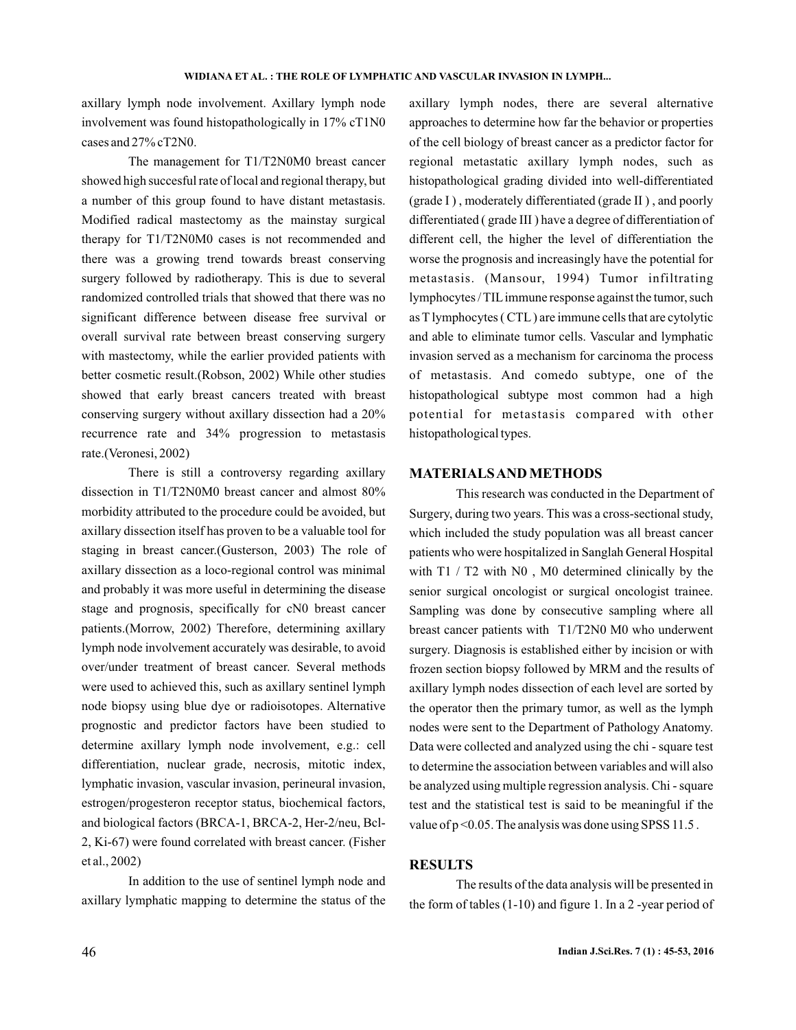axillary lymph node involvement. Axillary lymph node involvement was found histopathologically in 17% cT1N0 cases and 27% cT2N0.

The management for T1/T2N0M0 breast cancer showed high succesful rate of local and regional therapy, but a number of this group found to have distant metastasis. Modified radical mastectomy as the mainstay surgical therapy for T1/T2N0M0 cases is not recommended and there was a growing trend towards breast conserving surgery followed by radiotherapy. This is due to several randomized controlled trials that showed that there was no significant difference between disease free survival or overall survival rate between breast conserving surgery with mastectomy, while the earlier provided patients with better cosmetic result.(Robson, 2002) While other studies showed that early breast cancers treated with breast conserving surgery without axillary dissection had a 20% recurrence rate and 34% progression to metastasis rate.(Veronesi, 2002)

There is still a controversy regarding axillary dissection in T1/T2N0M0 breast cancer and almost 80% morbidity attributed to the procedure could be avoided, but axillary dissection itself has proven to be a valuable tool for staging in breast cancer.(Gusterson, 2003) The role of axillary dissection as a loco-regional control was minimal and probably it was more useful in determining the disease stage and prognosis, specifically for cN0 breast cancer patients.(Morrow, 2002) Therefore, determining axillary lymph node involvement accurately was desirable, to avoid over/under treatment of breast cancer. Several methods were used to achieved this, such as axillary sentinel lymph node biopsy using blue dye or radioisotopes. Alternative prognostic and predictor factors have been studied to determine axillary lymph node involvement, e.g.: cell differentiation, nuclear grade, necrosis, mitotic index, lymphatic invasion, vascular invasion, perineural invasion, estrogen/progesteron receptor status, biochemical factors, and biological factors (BRCA-1, BRCA-2, Her-2/neu, Bcl-2, Ki-67) were found correlated with breast cancer. (Fisher et al., 2002)

In addition to the use of sentinel lymph node and axillary lymphatic mapping to determine the status of the axillary lymph nodes, there are several alternative approaches to determine how far the behavior or properties of the cell biology of breast cancer as a predictor factor for regional metastatic axillary lymph nodes, such as histopathological grading divided into well-differentiated (grade I ) , moderately differentiated (grade II ) , and poorly differentiated ( grade III ) have a degree of differentiation of different cell, the higher the level of differentiation the worse the prognosis and increasingly have the potential for metastasis. (Mansour, 1994) Tumor infiltrating lymphocytes / TILimmune response against the tumor, such as T lymphocytes ( CTL ) are immune cells that are cytolytic and able to eliminate tumor cells. Vascular and lymphatic invasion served as a mechanism for carcinoma the process of metastasis. And comedo subtype, one of the histopathological subtype most common had a high potential for metastasis compared with other histopathological types.

## **MATERIALSAND METHODS**

This research was conducted in the Department of Surgery, during two years. This was a cross-sectional study, which included the study population was all breast cancer patients who were hospitalized in Sanglah General Hospital with T1 / T2 with N0 , M0 determined clinically by the senior surgical oncologist or surgical oncologist trainee. Sampling was done by consecutive sampling where all breast cancer patients with T1/T2N0 M0 who underwent surgery. Diagnosis is established either by incision or with frozen section biopsy followed by MRM and the results of axillary lymph nodes dissection of each level are sorted by the operator then the primary tumor, as well as the lymph nodes were sent to the Department of Pathology Anatomy. Data were collected and analyzed using the chi - square test to determine the association between variables and will also be analyzed using multiple regression analysis. Chi - square test and the statistical test is said to be meaningful if the value of  $p \le 0.05$ . The analysis was done using SPSS 11.5.

## **RESULTS**

The results of the data analysis will be presented in the form of tables (1-10) and figure 1. In a 2 -year period of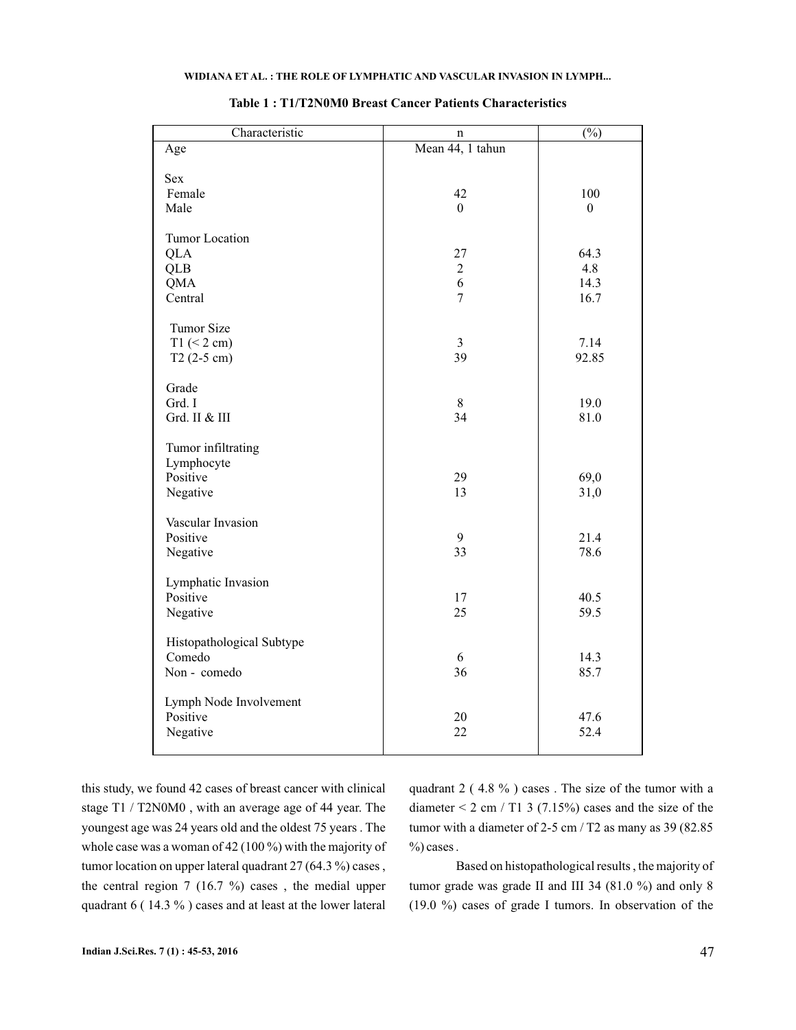| Mean 44, 1 tahun<br>Age<br><b>Sex</b><br>Female<br>100<br>42<br>Male<br>$\theta$<br>$\boldsymbol{0}$<br><b>Tumor Location</b><br>27<br>64.3<br><b>QLA</b><br>4.8<br><b>QLB</b><br>$\overline{c}$<br>6<br>14.3<br><b>QMA</b><br>$\overline{7}$<br>Central<br>16.7<br>Tumor Size<br>$T1$ (< 2 cm)<br>$\overline{3}$<br>7.14<br>39<br>92.85<br>$T2(2-5 cm)$<br>Grade<br>Grd. I<br>8<br>19.0<br>Grd. II & III<br>34<br>81.0<br>Tumor infiltrating<br>Lymphocyte<br>Positive<br>29<br>69,0<br>13<br>31,0<br>Negative<br>Vascular Invasion<br>Positive<br>9<br>21.4<br>33<br>78.6<br>Negative<br>Lymphatic Invasion<br>Positive<br>17<br>40.5<br>25<br>59.5<br>Negative<br>Histopathological Subtype<br>Comedo<br>6<br>14.3<br>36<br>Non - comedo<br>85.7<br>Lymph Node Involvement<br>Positive<br>20<br>47.6<br>22<br>52.4<br>Negative | Characteristic | n | $\overline{(\%)}$ |
|-----------------------------------------------------------------------------------------------------------------------------------------------------------------------------------------------------------------------------------------------------------------------------------------------------------------------------------------------------------------------------------------------------------------------------------------------------------------------------------------------------------------------------------------------------------------------------------------------------------------------------------------------------------------------------------------------------------------------------------------------------------------------------------------------------------------------------------|----------------|---|-------------------|
|                                                                                                                                                                                                                                                                                                                                                                                                                                                                                                                                                                                                                                                                                                                                                                                                                                   |                |   |                   |
|                                                                                                                                                                                                                                                                                                                                                                                                                                                                                                                                                                                                                                                                                                                                                                                                                                   |                |   |                   |
|                                                                                                                                                                                                                                                                                                                                                                                                                                                                                                                                                                                                                                                                                                                                                                                                                                   |                |   |                   |
|                                                                                                                                                                                                                                                                                                                                                                                                                                                                                                                                                                                                                                                                                                                                                                                                                                   |                |   |                   |
|                                                                                                                                                                                                                                                                                                                                                                                                                                                                                                                                                                                                                                                                                                                                                                                                                                   |                |   |                   |
|                                                                                                                                                                                                                                                                                                                                                                                                                                                                                                                                                                                                                                                                                                                                                                                                                                   |                |   |                   |
|                                                                                                                                                                                                                                                                                                                                                                                                                                                                                                                                                                                                                                                                                                                                                                                                                                   |                |   |                   |
|                                                                                                                                                                                                                                                                                                                                                                                                                                                                                                                                                                                                                                                                                                                                                                                                                                   |                |   |                   |
|                                                                                                                                                                                                                                                                                                                                                                                                                                                                                                                                                                                                                                                                                                                                                                                                                                   |                |   |                   |
|                                                                                                                                                                                                                                                                                                                                                                                                                                                                                                                                                                                                                                                                                                                                                                                                                                   |                |   |                   |
|                                                                                                                                                                                                                                                                                                                                                                                                                                                                                                                                                                                                                                                                                                                                                                                                                                   |                |   |                   |
|                                                                                                                                                                                                                                                                                                                                                                                                                                                                                                                                                                                                                                                                                                                                                                                                                                   |                |   |                   |
|                                                                                                                                                                                                                                                                                                                                                                                                                                                                                                                                                                                                                                                                                                                                                                                                                                   |                |   |                   |
|                                                                                                                                                                                                                                                                                                                                                                                                                                                                                                                                                                                                                                                                                                                                                                                                                                   |                |   |                   |
|                                                                                                                                                                                                                                                                                                                                                                                                                                                                                                                                                                                                                                                                                                                                                                                                                                   |                |   |                   |
|                                                                                                                                                                                                                                                                                                                                                                                                                                                                                                                                                                                                                                                                                                                                                                                                                                   |                |   |                   |
|                                                                                                                                                                                                                                                                                                                                                                                                                                                                                                                                                                                                                                                                                                                                                                                                                                   |                |   |                   |
|                                                                                                                                                                                                                                                                                                                                                                                                                                                                                                                                                                                                                                                                                                                                                                                                                                   |                |   |                   |
|                                                                                                                                                                                                                                                                                                                                                                                                                                                                                                                                                                                                                                                                                                                                                                                                                                   |                |   |                   |
|                                                                                                                                                                                                                                                                                                                                                                                                                                                                                                                                                                                                                                                                                                                                                                                                                                   |                |   |                   |
|                                                                                                                                                                                                                                                                                                                                                                                                                                                                                                                                                                                                                                                                                                                                                                                                                                   |                |   |                   |
|                                                                                                                                                                                                                                                                                                                                                                                                                                                                                                                                                                                                                                                                                                                                                                                                                                   |                |   |                   |
|                                                                                                                                                                                                                                                                                                                                                                                                                                                                                                                                                                                                                                                                                                                                                                                                                                   |                |   |                   |
|                                                                                                                                                                                                                                                                                                                                                                                                                                                                                                                                                                                                                                                                                                                                                                                                                                   |                |   |                   |
|                                                                                                                                                                                                                                                                                                                                                                                                                                                                                                                                                                                                                                                                                                                                                                                                                                   |                |   |                   |
|                                                                                                                                                                                                                                                                                                                                                                                                                                                                                                                                                                                                                                                                                                                                                                                                                                   |                |   |                   |
|                                                                                                                                                                                                                                                                                                                                                                                                                                                                                                                                                                                                                                                                                                                                                                                                                                   |                |   |                   |
|                                                                                                                                                                                                                                                                                                                                                                                                                                                                                                                                                                                                                                                                                                                                                                                                                                   |                |   |                   |
|                                                                                                                                                                                                                                                                                                                                                                                                                                                                                                                                                                                                                                                                                                                                                                                                                                   |                |   |                   |
|                                                                                                                                                                                                                                                                                                                                                                                                                                                                                                                                                                                                                                                                                                                                                                                                                                   |                |   |                   |
|                                                                                                                                                                                                                                                                                                                                                                                                                                                                                                                                                                                                                                                                                                                                                                                                                                   |                |   |                   |
|                                                                                                                                                                                                                                                                                                                                                                                                                                                                                                                                                                                                                                                                                                                                                                                                                                   |                |   |                   |
|                                                                                                                                                                                                                                                                                                                                                                                                                                                                                                                                                                                                                                                                                                                                                                                                                                   |                |   |                   |
|                                                                                                                                                                                                                                                                                                                                                                                                                                                                                                                                                                                                                                                                                                                                                                                                                                   |                |   |                   |
|                                                                                                                                                                                                                                                                                                                                                                                                                                                                                                                                                                                                                                                                                                                                                                                                                                   |                |   |                   |
|                                                                                                                                                                                                                                                                                                                                                                                                                                                                                                                                                                                                                                                                                                                                                                                                                                   |                |   |                   |
|                                                                                                                                                                                                                                                                                                                                                                                                                                                                                                                                                                                                                                                                                                                                                                                                                                   |                |   |                   |
|                                                                                                                                                                                                                                                                                                                                                                                                                                                                                                                                                                                                                                                                                                                                                                                                                                   |                |   |                   |
|                                                                                                                                                                                                                                                                                                                                                                                                                                                                                                                                                                                                                                                                                                                                                                                                                                   |                |   |                   |

## **Table 1 : T1/T2N0M0 Breast Cancer Patients Characteristics**

this study, we found 42 cases of breast cancer with clinical stage T1 / T2N0M0 , with an average age of 44 year. The youngest age was 24 years old and the oldest 75 years . The whole case was a woman of 42 (100 %) with the majority of tumor location on upper lateral quadrant 27 (64.3 %) cases , the central region 7 (16.7 %) cases , the medial upper quadrant 6 ( 14.3 % ) cases and at least at the lower lateral

quadrant 2 ( 4.8 % ) cases . The size of the tumor with a diameter  $\leq 2$  cm / T1 3 (7.15%) cases and the size of the tumor with a diameter of 2-5 cm / T2 as many as 39 (82.85)  $\%$ ) cases.

Based on histopathological results , the majority of tumor grade was grade II and III 34 (81.0 %) and only 8 (19.0 %) cases of grade I tumors. In observation of the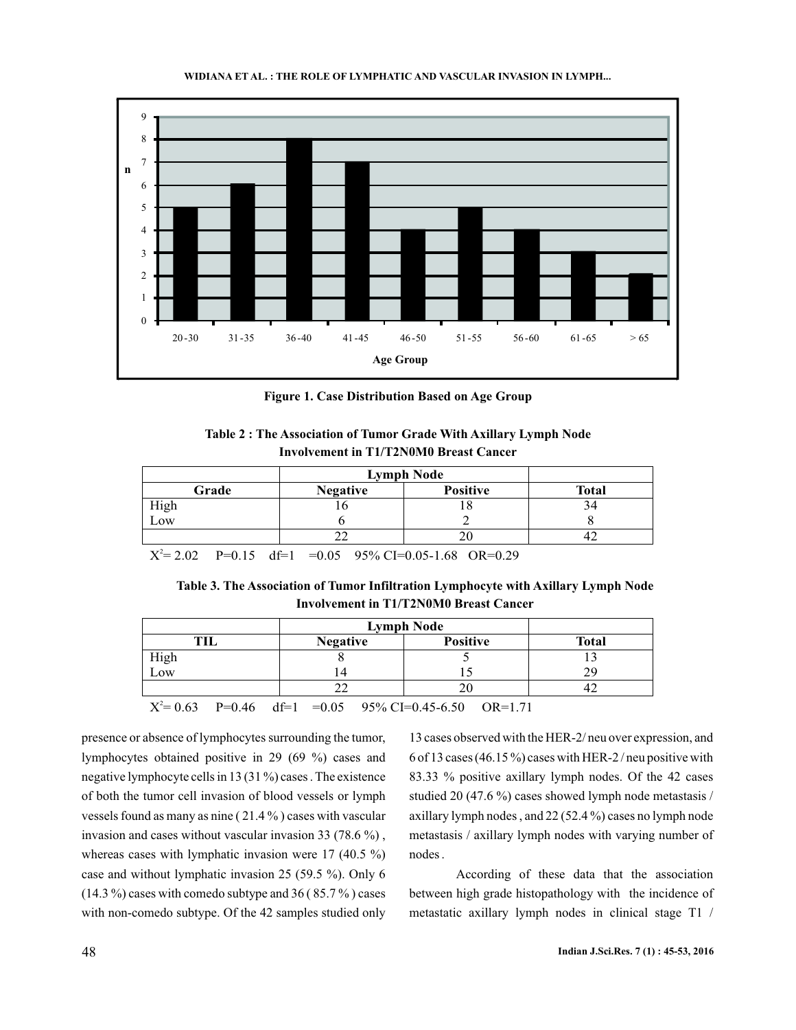



**Figure 1. Case Distribution Based on Age Group**

| Table 2: The Association of Tumor Grade With Axillary Lymph Node |
|------------------------------------------------------------------|
| Involvement in T1/T2N0M0 Breast Cancer                           |

|              | Grade | <b>Negative</b>                                         | <b>Positive</b> | <b>Total</b> |
|--------------|-------|---------------------------------------------------------|-----------------|--------------|
| High         |       |                                                         | '8              | 34           |
| Low          |       |                                                         |                 |              |
|              |       |                                                         | 20              | 42           |
| $V^2 - 2.02$ |       | $D=0.15$ $d=1$ $=0.05$ $0.50$ $C=0.05$ $1.68$ $OD=0.20$ |                 |              |

 $X^2 = 2.02$  P=0.15 df=1 =0.05 95% CI=0.05-1.68 OR=0.29 .02 P=0.15 df=1 =0.05 95% CI=0.05-1.68 OR=0.

| Table 3. The Association of Tumor Infiltration Lymphocyte with Axillary Lymph Node |  |
|------------------------------------------------------------------------------------|--|
| Involvement in T1/T2N0M0 Breast Cancer                                             |  |

|      | <b>Lymph Node</b>                                                                                                                                                                                                                                                                                    |                 |              |
|------|------------------------------------------------------------------------------------------------------------------------------------------------------------------------------------------------------------------------------------------------------------------------------------------------------|-----------------|--------------|
| тн   | <b>Negative</b>                                                                                                                                                                                                                                                                                      | <b>Positive</b> | <b>Total</b> |
| High |                                                                                                                                                                                                                                                                                                      |                 |              |
| Low  |                                                                                                                                                                                                                                                                                                      |                 | 29           |
|      |                                                                                                                                                                                                                                                                                                      |                 |              |
|      | $\mathbf{x}^{(2)}$ a set $\mathbf{R}$ and $\mathbf{R}$ and $\mathbf{R}$ and $\mathbf{R}$ and $\mathbf{R}$ and $\mathbf{R}$ and $\mathbf{R}$ and $\mathbf{R}$ and $\mathbf{R}$ and $\mathbf{R}$ and $\mathbf{R}$ and $\mathbf{R}$ and $\mathbf{R}$ and $\mathbf{R}$ and $\mathbf{R}$ and $\mathbf{R}$ |                 |              |

 $X^2 = 0.63$  P=0.46 df=1 =0.05 95% CI=0.45-6.50 OR=1.71  $df=1 = 0.05$ 

presence or absence of lymphocytes surrounding the tumor, lymphocytes obtained positive in 29 (69 %) cases and negative lymphocyte cells in 13 (31 %) cases . The existence of both the tumor cell invasion of blood vessels or lymph vessels found as many as nine ( 21.4 % ) cases with vascular invasion and cases without vascular invasion 33 (78.6 %) , whereas cases with lymphatic invasion were 17 (40.5 %) case and without lymphatic invasion 25 (59.5 %). Only 6  $(14.3\%)$  cases with comedo subtype and 36 (85.7%) cases with non-comedo subtype. Of the 42 samples studied only

13 cases observed with the HER-2/ neu over expression, and 6 of 13 cases (46.15 %) cases with HER-2 / neu positive with 83.33 % positive axillary lymph nodes. Of the 42 cases studied 20 (47.6 %) cases showed lymph node metastasis / axillary lymph nodes , and 22 (52.4 %) cases no lymph node metastasis / axillary lymph nodes with varying number of nodes .

According of these data that the association between high grade histopathology with the incidence of metastatic axillary lymph nodes in clinical stage T1 /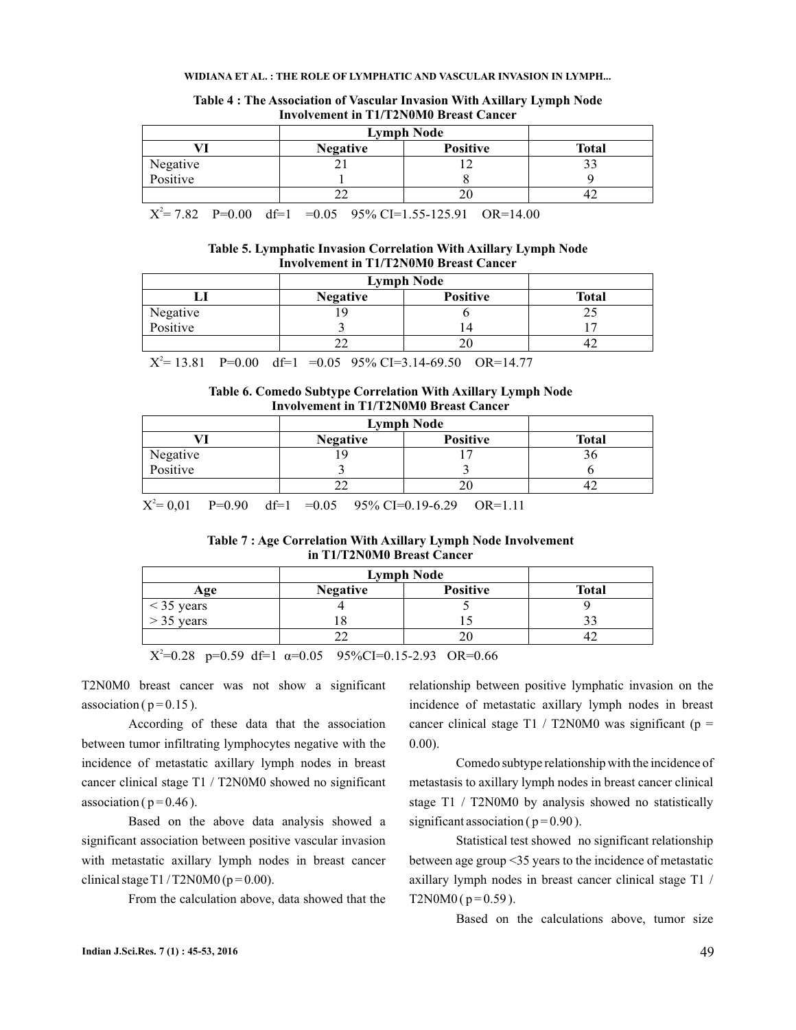#### **WIDIANA ET AL. : THE ROLE OF LYMPHATIC AND VASCULAR INVASION IN LYMPH...**

| THIS PLATFORM IN THE LATER LIFE OF LANGE CHILDER |                 |                   |              |  |  |
|--------------------------------------------------|-----------------|-------------------|--------------|--|--|
|                                                  |                 | <b>Lymph Node</b> |              |  |  |
|                                                  | <b>Negative</b> | <b>Positive</b>   | <b>Total</b> |  |  |
| Negative<br>Positive                             |                 |                   |              |  |  |
|                                                  |                 |                   |              |  |  |
|                                                  |                 |                   |              |  |  |

#### **Table 4 : The Association of Vascular Invasion With Axillary Lymph Node Involvement in T1/T2N0M0 Breast Cancer**

 $X^2 = 7.82$  P=0.00 df=1 =0.05 95% CI=1.55-125.91 OR=14.00

#### **Table 5. Lymphatic Invasion Correlation With Axillary Lymph Node Involvement in T1/T2N0M0 Breast Cancer**

|                      | <b>Negative</b> | Positive | <b>Total</b> |
|----------------------|-----------------|----------|--------------|
|                      |                 |          |              |
| Negative<br>Positive |                 |          |              |
|                      |                 |          |              |

 $X^2 = 13.81$  P=0.00 df=1 =0.05 95% CI=3.14-69.50 OR=14.77

#### **Table 6. Comedo Subtype Correlation With Axillary Lymph Node Involvement in T1/T2N0M0 Breast Cancer**

|              | <b>Lymph Node</b>                          |                 |                                                                                                       |  |  |
|--------------|--------------------------------------------|-----------------|-------------------------------------------------------------------------------------------------------|--|--|
| <b>Total</b> | <b>Positive</b>                            | <b>Negative</b> |                                                                                                       |  |  |
|              |                                            |                 | Negative                                                                                              |  |  |
|              |                                            |                 | Positive                                                                                              |  |  |
|              |                                            |                 |                                                                                                       |  |  |
|              | $0.05 - 0.50$ / $C10 - 0.00 - 0.00 - 1.11$ |                 | $\mathbf{r}^{2}$ $\alpha \alpha_{1}$ $\mathbf{r} \alpha \alpha_{2}$<br>$\overline{10}$ $\overline{1}$ |  |  |

 $X^2 = 0.01$  P=0.90 df=1 =0.05 95% CI=0.19-6.29 OR=1.11

**Table 7 : Age Correlation With Axillary Lymph Node Involvement in T1/T2N0M0 Breast Cancer**

|                              |                 | <b>Lymph Node</b> |              |  |  |  |
|------------------------------|-----------------|-------------------|--------------|--|--|--|
| Age                          | <b>Negative</b> | <b>Positive</b>   | <b>Total</b> |  |  |  |
| $< 35$ years<br>$> 35$ years |                 |                   |              |  |  |  |
|                              |                 |                   |              |  |  |  |
|                              |                 |                   |              |  |  |  |
| $\sim$                       |                 |                   |              |  |  |  |

 $X^2=0.28$  p=0.59 df=1  $\alpha=0.05$  95%CI=0.15-2.93 OR=0.66

T2N0M0 breast cancer was not show a significant association ( $p = 0.15$ ).

According of these data that the association between tumor infiltrating lymphocytes negative with the incidence of metastatic axillary lymph nodes in breast cancer clinical stage T1 / T2N0M0 showed no significant association ( $p = 0.46$ ).

Based on the above data analysis showed a significant association between positive vascular invasion with metastatic axillary lymph nodes in breast cancer clinical stage T1 / T2N0M0 ( $p = 0.00$ ).

From the calculation above, data showed that the

relationship between positive lymphatic invasion on the incidence of metastatic axillary lymph nodes in breast cancer clinical stage T1 / T2N0M0 was significant ( $p =$ 0.00).

Comedo subtype relationship with the incidence of metastasis to axillary lymph nodes in breast cancer clinical stage T1 / T2N0M0 by analysis showed no statistically significant association ( $p = 0.90$ ).

Statistical test showed no significant relationship between age group <35 years to the incidence of metastatic axillary lymph nodes in breast cancer clinical stage T1 / T2N0M0 ( $p = 0.59$ ).

Based on the calculations above, tumor size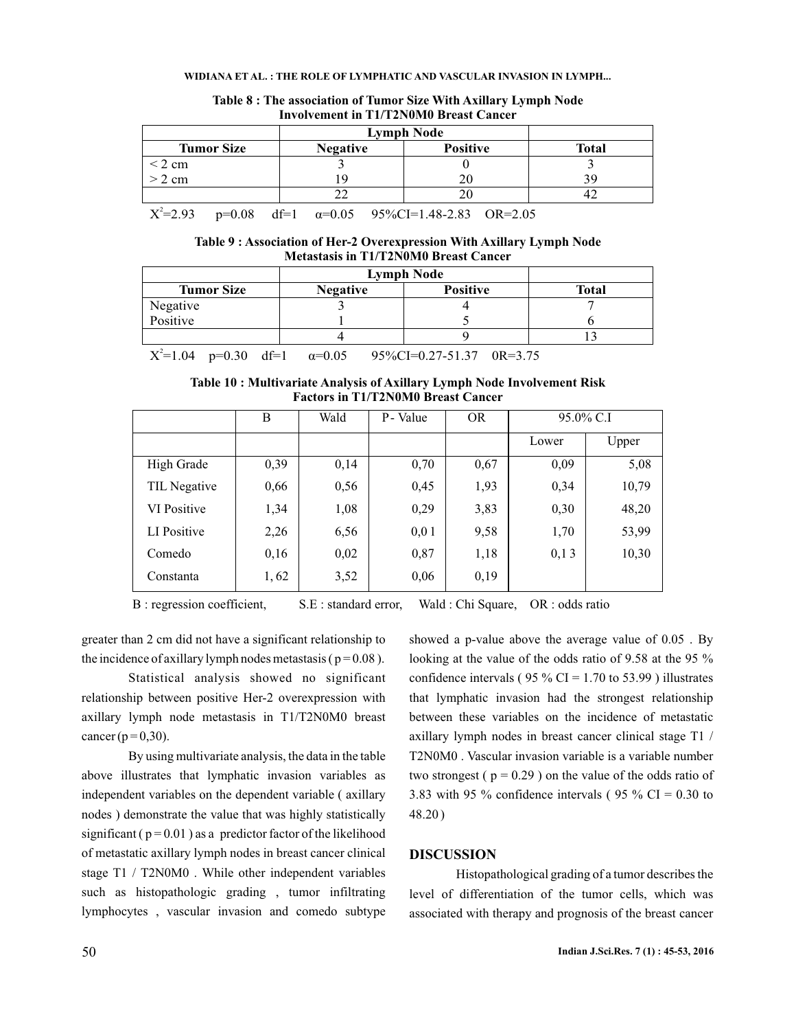#### **WIDIANA ET AL. : THE ROLE OF LYMPHATIC AND VASCULAR INVASION IN LYMPH...**

| <b>Lymph Node</b> |                 |                 |              |  |  |
|-------------------|-----------------|-----------------|--------------|--|--|
| <b>Tumor Size</b> | <b>Negative</b> | <b>Positive</b> | <b>Total</b> |  |  |
| $\leq$ 2 cm       |                 |                 |              |  |  |
| $> 2$ cm          | ۱Q              | 20              | Ŗ۹           |  |  |
|                   |                 |                 |              |  |  |

#### **Table 8 : The association of Tumor Size With Axillary Lymph Node Involvement in T1/T2N0M0 Breast Cancer**

 $X^2 = 2.93$  p=0.08 df=1  $\alpha = 0.05$  95%CI=1.48-2.83 OR=2.05

#### **Table 9 : Association of Her-2 Overexpression With Axillary Lymph Node Metastasis in T1/T2N0M0 Breast Cancer**

| <b>Tumor Size</b>                    | <b>Positive</b><br><b>Negative</b> |                                         | <b>Total</b> |  |
|--------------------------------------|------------------------------------|-----------------------------------------|--------------|--|
| Negative                             |                                    |                                         |              |  |
| Positive                             |                                    |                                         |              |  |
|                                      |                                    |                                         |              |  |
| $X^2=1.04$ p=0.30 df=1 $\alpha=0.05$ |                                    | $95\%CI = 0.27 - 51.37 \quad 0R = 3.75$ |              |  |

**Table 10 : Multivariate Analysis of Axillary Lymph Node Involvement Risk Factors in T1/T2N0M0 Breast Cancer**

|              | B    | Wald | P - Value | <b>OR</b> | 95.0% C.I |       |
|--------------|------|------|-----------|-----------|-----------|-------|
|              |      |      |           |           | Lower     | Upper |
| High Grade   | 0,39 | 0,14 | 0,70      | 0,67      | 0,09      | 5,08  |
| TIL Negative | 0,66 | 0,56 | 0,45      | 1,93      | 0,34      | 10,79 |
| VI Positive  | 1,34 | 1,08 | 0,29      | 3,83      | 0,30      | 48,20 |
| LI Positive  | 2,26 | 6,56 | 0,01      | 9,58      | 1,70      | 53,99 |
| Comedo       | 0,16 | 0,02 | 0,87      | 1,18      | 0,13      | 10,30 |
| Constanta    | 1,62 | 3,52 | 0,06      | 0,19      |           |       |

B : regression coefficient, S.E : standard error, Wald : Chi Square, OR : odds ratio

greater than 2 cm did not have a significant relationship to the incidence of axillary lymph nodes metastasis ( $p = 0.08$ ).

Statistical analysis showed no significant relationship between positive Her-2 overexpression with axillary lymph node metastasis in T1/T2N0M0 breast cancer ( $p = 0,30$ ).

By using multivariate analysis, the data in the table above illustrates that lymphatic invasion variables as independent variables on the dependent variable ( axillary nodes ) demonstrate the value that was highly statistically significant ( $p = 0.01$ ) as a predictor factor of the likelihood of metastatic axillary lymph nodes in breast cancer clinical stage T1 / T2N0M0 . While other independent variables such as histopathologic grading , tumor infiltrating lymphocytes , vascular invasion and comedo subtype

showed a p-value above the average value of 0.05 . By looking at the value of the odds ratio of 9.58 at the 95 % confidence intervals ( $95\%$  CI = 1.70 to 53.99) illustrates that lymphatic invasion had the strongest relationship between these variables on the incidence of metastatic axillary lymph nodes in breast cancer clinical stage T1 / T2N0M0 . Vascular invasion variable is a variable number two strongest ( $p = 0.29$ ) on the value of the odds ratio of 3.83 with 95 % confidence intervals (95 % CI = 0.30 to 48.20 )

## **DISCUSSION**

Histopathological grading of a tumor describes the level of differentiation of the tumor cells, which was associated with therapy and prognosis of the breast cancer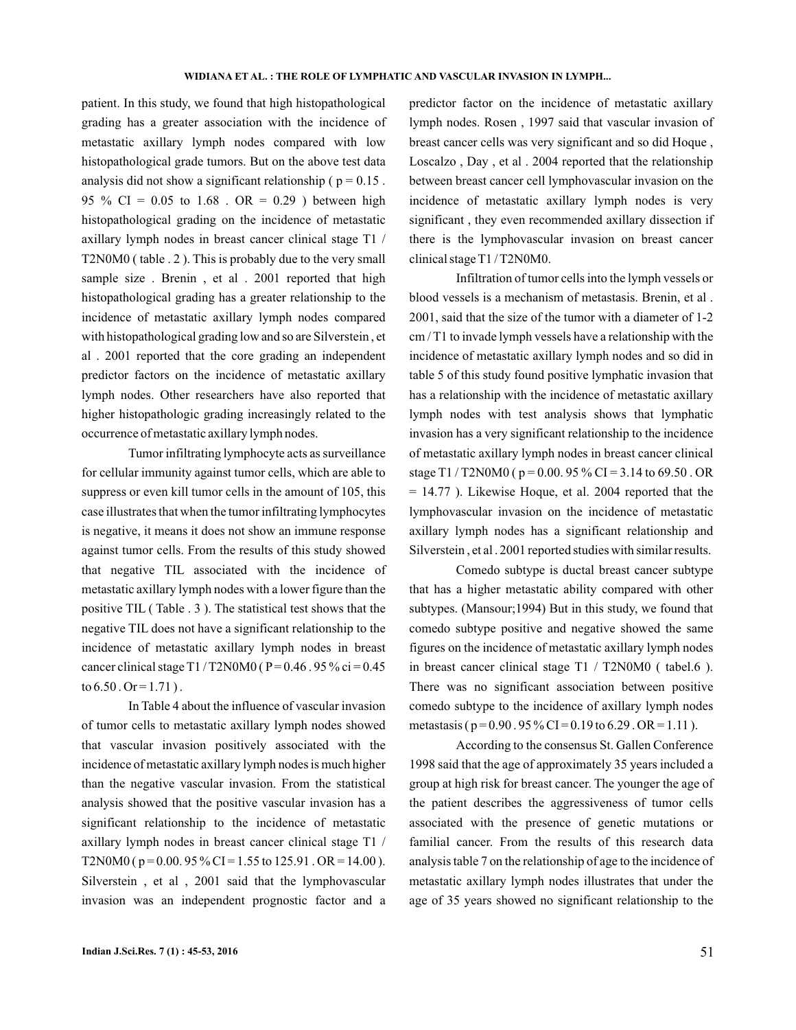patient. In this study, we found that high histopathological grading has a greater association with the incidence of metastatic axillary lymph nodes compared with low histopathological grade tumors. But on the above test data analysis did not show a significant relationship ( $p = 0.15$ . 95 % CI =  $0.05$  to 1.68 . OR = 0.29 ) between high histopathological grading on the incidence of metastatic axillary lymph nodes in breast cancer clinical stage T1 / T2N0M0 ( table . 2 ). This is probably due to the very small sample size . Brenin, et al. 2001 reported that high histopathological grading has a greater relationship to the incidence of metastatic axillary lymph nodes compared with histopathological grading low and so are Silverstein , et al . 2001 reported that the core grading an independent predictor factors on the incidence of metastatic axillary lymph nodes. Other researchers have also reported that higher histopathologic grading increasingly related to the occurrence of metastatic axillary lymph nodes.

Tumor infiltrating lymphocyte acts as surveillance for cellular immunity against tumor cells, which are able to suppress or even kill tumor cells in the amount of 105, this case illustrates that when the tumor infiltrating lymphocytes is negative, it means it does not show an immune response against tumor cells. From the results of this study showed that negative TIL associated with the incidence of metastatic axillary lymph nodes with a lower figure than the positive TIL ( Table . 3 ). The statistical test shows that the negative TIL does not have a significant relationship to the incidence of metastatic axillary lymph nodes in breast cancer clinical stage T1/T2N0M0 ( $P = 0.46$ . 95% ci = 0.45 to  $6.50$ . Or = 1.71).

In Table 4 about the influence of vascular invasion of tumor cells to metastatic axillary lymph nodes showed that vascular invasion positively associated with the incidence of metastatic axillary lymph nodes is much higher than the negative vascular invasion. From the statistical analysis showed that the positive vascular invasion has a significant relationship to the incidence of metastatic axillary lymph nodes in breast cancer clinical stage T1 / T2N0M0 ( $p = 0.00$ . 95 % CI = 1.55 to 125.91 . OR = 14.00). Silverstein , et al , 2001 said that the lymphovascular invasion was an independent prognostic factor and a predictor factor on the incidence of metastatic axillary lymph nodes. Rosen , 1997 said that vascular invasion of breast cancer cells was very significant and so did Hoque , Loscalzo , Day , et al . 2004 reported that the relationship between breast cancer cell lymphovascular invasion on the incidence of metastatic axillary lymph nodes is very significant , they even recommended axillary dissection if there is the lymphovascular invasion on breast cancer clinical stage T1 / T2N0M0.

Infiltration of tumor cells into the lymph vessels or blood vessels is a mechanism of metastasis. Brenin, et al . 2001, said that the size of the tumor with a diameter of 1-2 cm / T1 to invade lymph vessels have a relationship with the incidence of metastatic axillary lymph nodes and so did in table 5 of this study found positive lymphatic invasion that has a relationship with the incidence of metastatic axillary lymph nodes with test analysis shows that lymphatic invasion has a very significant relationship to the incidence of metastatic axillary lymph nodes in breast cancer clinical stage T1 / T2N0M0 ( $p = 0.00$ . 95 % CI = 3.14 to 69.50 . OR = 14.77 ). Likewise Hoque, et al. 2004 reported that the lymphovascular invasion on the incidence of metastatic axillary lymph nodes has a significant relationship and Silverstein , et al . 2001 reported studies with similar results.

Comedo subtype is ductal breast cancer subtype that has a higher metastatic ability compared with other subtypes. (Mansour;1994) But in this study, we found that comedo subtype positive and negative showed the same figures on the incidence of metastatic axillary lymph nodes in breast cancer clinical stage T1 / T2N0M0 ( tabel.6 ). There was no significant association between positive comedo subtype to the incidence of axillary lymph nodes metastasis ( $p = 0.90$ . 95 % CI = 0.19 to 6.29 . OR = 1.11).

According to the consensus St. Gallen Conference 1998 said that the age of approximately 35 years included a group at high risk for breast cancer. The younger the age of the patient describes the aggressiveness of tumor cells associated with the presence of genetic mutations or familial cancer. From the results of this research data analysis table 7 on the relationship of age to the incidence of metastatic axillary lymph nodes illustrates that under the age of 35 years showed no significant relationship to the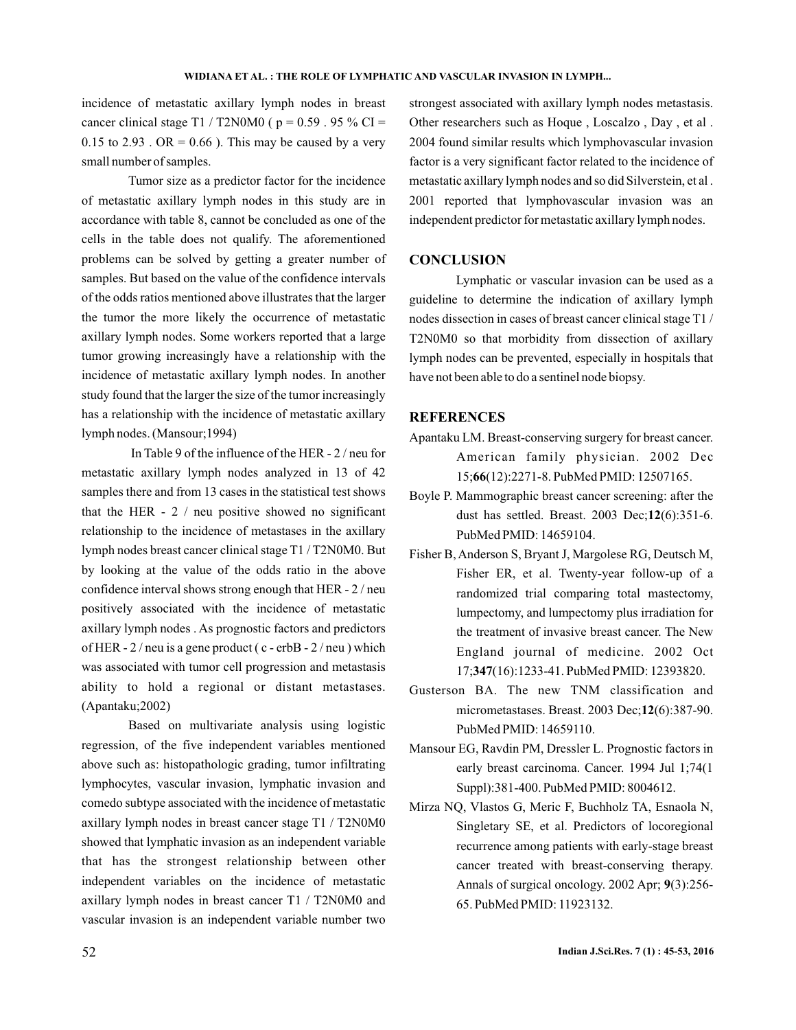incidence of metastatic axillary lymph nodes in breast cancer clinical stage T1 / T2N0M0 ( $p = 0.59$ . 95 % CI = 0.15 to 2.93 . OR = 0.66 ). This may be caused by a very small number of samples.

Tumor size as a predictor factor for the incidence of metastatic axillary lymph nodes in this study are in accordance with table 8, cannot be concluded as one of the cells in the table does not qualify. The aforementioned problems can be solved by getting a greater number of samples. But based on the value of the confidence intervals of the odds ratios mentioned above illustrates that the larger the tumor the more likely the occurrence of metastatic axillary lymph nodes. Some workers reported that a large tumor growing increasingly have a relationship with the incidence of metastatic axillary lymph nodes. In another study found that the larger the size of the tumor increasingly has a relationship with the incidence of metastatic axillary lymph nodes. (Mansour;1994)

In Table 9 of the influence of the HER - 2 / neu for metastatic axillary lymph nodes analyzed in 13 of 42 samples there and from 13 cases in the statistical test shows that the HER  $-2/$  neu positive showed no significant relationship to the incidence of metastases in the axillary lymph nodes breast cancer clinical stage T1 / T2N0M0. But by looking at the value of the odds ratio in the above confidence interval shows strong enough that HER - 2 / neu positively associated with the incidence of metastatic axillary lymph nodes . As prognostic factors and predictors of HER -  $2/$  neu is a gene product ( $c$  - erbB -  $2/$  neu) which was associated with tumor cell progression and metastasis ability to hold a regional or distant metastases. (Apantaku;2002)

Based on multivariate analysis using logistic regression, of the five independent variables mentioned above such as: histopathologic grading, tumor infiltrating lymphocytes, vascular invasion, lymphatic invasion and comedo subtype associated with the incidence of metastatic axillary lymph nodes in breast cancer stage T1 / T2N0M0 showed that lymphatic invasion as an independent variable that has the strongest relationship between other independent variables on the incidence of metastatic axillary lymph nodes in breast cancer T1 / T2N0M0 and vascular invasion is an independent variable number two

strongest associated with axillary lymph nodes metastasis. Other researchers such as Hoque , Loscalzo , Day , et al . 2004 found similar results which lymphovascular invasion factor is a very significant factor related to the incidence of metastatic axillary lymph nodes and so did Silverstein, et al . 2001 reported that lymphovascular invasion was an independent predictor for metastatic axillary lymph nodes.

## **CONCLUSION**

Lymphatic or vascular invasion can be used as a guideline to determine the indication of axillary lymph nodes dissection in cases of breast cancer clinical stage T1 / T2N0M0 so that morbidity from dissection of axillary lymph nodes can be prevented, especially in hospitals that have not been able to do a sentinel node biopsy.

## **REFERENCES**

- Apantaku LM. Breast-conserving surgery for breast cancer. American family physician. 2002 Dec 15; (12):2271-8. PubMed PMID: 12507165. **66**
- Boyle P. Mammographic breast cancer screening: after the dust has settled. Breast. 2003 Dec;12(6):351-6. PubMed PMID: 14659104.
- Fisher B, Anderson S, Bryant J, Margolese RG, Deutsch M, Fisher ER, et al. Twenty-year follow-up of a randomized trial comparing total mastectomy, lumpectomy, and lumpectomy plus irradiation for the treatment of invasive breast cancer. The New England journal of medicine. 2002 Oct 17;347(16):1233-41. PubMed PMID: 12393820.
- Gusterson BA. The new TNM classification and micrometastases. Breast. 2003 Dec;12(6):387-90. PubMed PMID: 14659110.
- Mansour EG, Ravdin PM, Dressler L. Prognostic factors in early breast carcinoma. Cancer. 1994 Jul 1;74(1 Suppl):381-400. PubMed PMID: 8004612.
- Mirza NQ, Vlastos G, Meric F, Buchholz TA, Esnaola N, Singletary SE, et al. Predictors of locoregional recurrence among patients with early-stage breast cancer treated with breast-conserving therapy. Annals of surgical oncology. 2002 Apr; 9(3):256-65. PubMed PMID: 11923132.